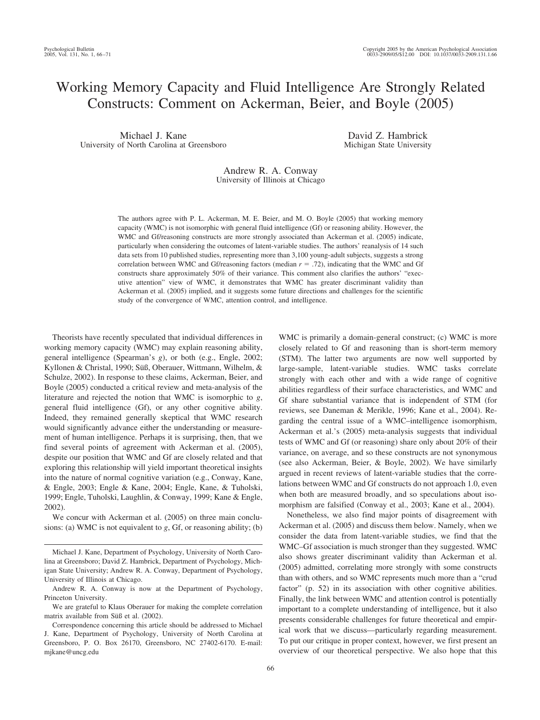# Working Memory Capacity and Fluid Intelligence Are Strongly Related Constructs: Comment on Ackerman, Beier, and Boyle (2005)

Michael J. Kane University of North Carolina at Greensboro

David Z. Hambrick Michigan State University

## Andrew R. A. Conway University of Illinois at Chicago

The authors agree with P. L. Ackerman, M. E. Beier, and M. O. Boyle (2005) that working memory capacity (WMC) is not isomorphic with general fluid intelligence (Gf) or reasoning ability. However, the WMC and Gf/reasoning constructs are more strongly associated than Ackerman et al. (2005) indicate, particularly when considering the outcomes of latent-variable studies. The authors' reanalysis of 14 such data sets from 10 published studies, representing more than 3,100 young-adult subjects, suggests a strong correlation between WMC and Gf/reasoning factors (median  $r = .72$ ), indicating that the WMC and Gf constructs share approximately 50% of their variance. This comment also clarifies the authors' "executive attention" view of WMC, it demonstrates that WMC has greater discriminant validity than Ackerman et al. (2005) implied, and it suggests some future directions and challenges for the scientific study of the convergence of WMC, attention control, and intelligence.

Theorists have recently speculated that individual differences in working memory capacity (WMC) may explain reasoning ability, general intelligence (Spearman's *g*), or both (e.g., Engle, 2002; Kyllonen & Christal, 1990; Süß, Oberauer, Wittmann, Wilhelm, & Schulze, 2002). In response to these claims, Ackerman, Beier, and Boyle (2005) conducted a critical review and meta-analysis of the literature and rejected the notion that WMC is isomorphic to *g*, general fluid intelligence (Gf), or any other cognitive ability. Indeed, they remained generally skeptical that WMC research would significantly advance either the understanding or measurement of human intelligence. Perhaps it is surprising, then, that we find several points of agreement with Ackerman et al. (2005), despite our position that WMC and Gf are closely related and that exploring this relationship will yield important theoretical insights into the nature of normal cognitive variation (e.g., Conway, Kane, & Engle, 2003; Engle & Kane, 2004; Engle, Kane, & Tuholski, 1999; Engle, Tuholski, Laughlin, & Conway, 1999; Kane & Engle, 2002).

We concur with Ackerman et al. (2005) on three main conclusions: (a) WMC is not equivalent to *g*, Gf, or reasoning ability; (b) WMC is primarily a domain-general construct; (c) WMC is more closely related to Gf and reasoning than is short-term memory (STM). The latter two arguments are now well supported by large-sample, latent-variable studies. WMC tasks correlate strongly with each other and with a wide range of cognitive abilities regardless of their surface characteristics, and WMC and Gf share substantial variance that is independent of STM (for reviews, see Daneman & Merikle, 1996; Kane et al., 2004). Regarding the central issue of a WMC–intelligence isomorphism, Ackerman et al.'s (2005) meta-analysis suggests that individual tests of WMC and Gf (or reasoning) share only about 20% of their variance, on average, and so these constructs are not synonymous (see also Ackerman, Beier, & Boyle, 2002). We have similarly argued in recent reviews of latent-variable studies that the correlations between WMC and Gf constructs do not approach 1.0, even when both are measured broadly, and so speculations about isomorphism are falsified (Conway et al., 2003; Kane et al., 2004).

Nonetheless, we also find major points of disagreement with Ackerman et al. (2005) and discuss them below. Namely, when we consider the data from latent-variable studies, we find that the WMC–Gf association is much stronger than they suggested. WMC also shows greater discriminant validity than Ackerman et al. (2005) admitted, correlating more strongly with some constructs than with others, and so WMC represents much more than a "crud factor" (p. 52) in its association with other cognitive abilities. Finally, the link between WMC and attention control is potentially important to a complete understanding of intelligence, but it also presents considerable challenges for future theoretical and empirical work that we discuss—particularly regarding measurement. To put our critique in proper context, however, we first present an overview of our theoretical perspective. We also hope that this

Michael J. Kane, Department of Psychology, University of North Carolina at Greensboro; David Z. Hambrick, Department of Psychology, Michigan State University; Andrew R. A. Conway, Department of Psychology, University of Illinois at Chicago.

Andrew R. A. Conway is now at the Department of Psychology, Princeton University.

We are grateful to Klaus Oberauer for making the complete correlation matrix available from Süß et al. (2002).

Correspondence concerning this article should be addressed to Michael J. Kane, Department of Psychology, University of North Carolina at Greensboro, P. O. Box 26170, Greensboro, NC 27402-6170. E-mail: mjkane@uncg.edu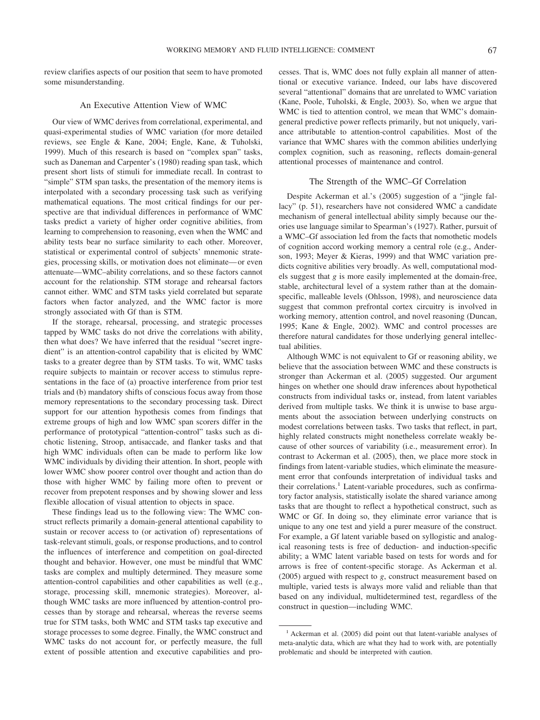review clarifies aspects of our position that seem to have promoted some misunderstanding.

### An Executive Attention View of WMC

Our view of WMC derives from correlational, experimental, and quasi-experimental studies of WMC variation (for more detailed reviews, see Engle & Kane, 2004; Engle, Kane, & Tuholski, 1999). Much of this research is based on "complex span" tasks, such as Daneman and Carpenter's (1980) reading span task, which present short lists of stimuli for immediate recall. In contrast to "simple" STM span tasks, the presentation of the memory items is interpolated with a secondary processing task such as verifying mathematical equations. The most critical findings for our perspective are that individual differences in performance of WMC tasks predict a variety of higher order cognitive abilities, from learning to comprehension to reasoning, even when the WMC and ability tests bear no surface similarity to each other. Moreover, statistical or experimental control of subjects' mnemonic strategies, processing skills, or motivation does not eliminate— or even attenuate—WMC–ability correlations, and so these factors cannot account for the relationship. STM storage and rehearsal factors cannot either. WMC and STM tasks yield correlated but separate factors when factor analyzed, and the WMC factor is more strongly associated with Gf than is STM.

If the storage, rehearsal, processing, and strategic processes tapped by WMC tasks do not drive the correlations with ability, then what does? We have inferred that the residual "secret ingredient" is an attention-control capability that is elicited by WMC tasks to a greater degree than by STM tasks. To wit, WMC tasks require subjects to maintain or recover access to stimulus representations in the face of (a) proactive interference from prior test trials and (b) mandatory shifts of conscious focus away from those memory representations to the secondary processing task. Direct support for our attention hypothesis comes from findings that extreme groups of high and low WMC span scorers differ in the performance of prototypical "attention-control" tasks such as dichotic listening, Stroop, antisaccade, and flanker tasks and that high WMC individuals often can be made to perform like low WMC individuals by dividing their attention. In short, people with lower WMC show poorer control over thought and action than do those with higher WMC by failing more often to prevent or recover from prepotent responses and by showing slower and less flexible allocation of visual attention to objects in space.

These findings lead us to the following view: The WMC construct reflects primarily a domain-general attentional capability to sustain or recover access to (or activation of) representations of task-relevant stimuli, goals, or response productions, and to control the influences of interference and competition on goal-directed thought and behavior. However, one must be mindful that WMC tasks are complex and multiply determined. They measure some attention-control capabilities and other capabilities as well (e.g., storage, processing skill, mnemonic strategies). Moreover, although WMC tasks are more influenced by attention-control processes than by storage and rehearsal, whereas the reverse seems true for STM tasks, both WMC and STM tasks tap executive and storage processes to some degree. Finally, the WMC construct and WMC tasks do not account for, or perfectly measure, the full extent of possible attention and executive capabilities and processes. That is, WMC does not fully explain all manner of attentional or executive variance. Indeed, our labs have discovered several "attentional" domains that are unrelated to WMC variation (Kane, Poole, Tuholski, & Engle, 2003). So, when we argue that WMC is tied to attention control, we mean that WMC's domaingeneral predictive power reflects primarily, but not uniquely, variance attributable to attention-control capabilities. Most of the variance that WMC shares with the common abilities underlying complex cognition, such as reasoning, reflects domain-general attentional processes of maintenance and control.

#### The Strength of the WMC–Gf Correlation

Despite Ackerman et al.'s (2005) suggestion of a "jingle fallacy" (p. 51), researchers have not considered WMC a candidate mechanism of general intellectual ability simply because our theories use language similar to Spearman's (1927). Rather, pursuit of a WMC–Gf association led from the facts that nomothetic models of cognition accord working memory a central role (e.g., Anderson, 1993; Meyer & Kieras, 1999) and that WMC variation predicts cognitive abilities very broadly. As well, computational models suggest that *g* is more easily implemented at the domain-free, stable, architectural level of a system rather than at the domainspecific, malleable levels (Ohlsson, 1998), and neuroscience data suggest that common prefrontal cortex circuitry is involved in working memory, attention control, and novel reasoning (Duncan, 1995; Kane & Engle, 2002). WMC and control processes are therefore natural candidates for those underlying general intellectual abilities.

Although WMC is not equivalent to Gf or reasoning ability, we believe that the association between WMC and these constructs is stronger than Ackerman et al. (2005) suggested. Our argument hinges on whether one should draw inferences about hypothetical constructs from individual tasks or, instead, from latent variables derived from multiple tasks. We think it is unwise to base arguments about the association between underlying constructs on modest correlations between tasks. Two tasks that reflect, in part, highly related constructs might nonetheless correlate weakly because of other sources of variability (i.e., measurement error). In contrast to Ackerman et al. (2005), then, we place more stock in findings from latent-variable studies, which eliminate the measurement error that confounds interpretation of individual tasks and their correlations.<sup>1</sup> Latent-variable procedures, such as confirmatory factor analysis, statistically isolate the shared variance among tasks that are thought to reflect a hypothetical construct, such as WMC or Gf. In doing so, they eliminate error variance that is unique to any one test and yield a purer measure of the construct. For example, a Gf latent variable based on syllogistic and analogical reasoning tests is free of deduction- and induction-specific ability; a WMC latent variable based on tests for words and for arrows is free of content-specific storage. As Ackerman et al. (2005) argued with respect to *g*, construct measurement based on multiple, varied tests is always more valid and reliable than that based on any individual, multidetermined test, regardless of the construct in question—including WMC.

<sup>1</sup> Ackerman et al. (2005) did point out that latent-variable analyses of meta-analytic data, which are what they had to work with, are potentially problematic and should be interpreted with caution.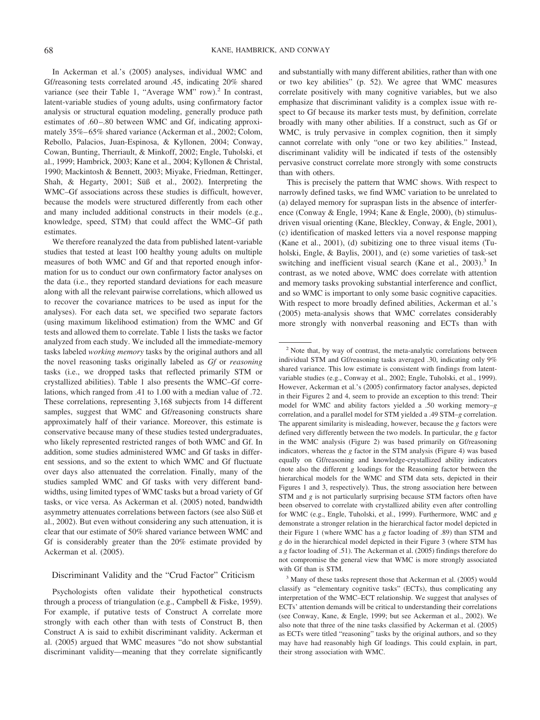In Ackerman et al.'s (2005) analyses, individual WMC and Gf/reasoning tests correlated around .45, indicating 20% shared variance (see their Table 1, "Average WM" row).<sup>2</sup> In contrast, latent-variable studies of young adults, using confirmatory factor analysis or structural equation modeling, generally produce path estimates of .60 –.80 between WMC and Gf, indicating approximately 35%– 65% shared variance (Ackerman et al., 2002; Colom, Rebollo, Palacios, Juan-Espinosa, & Kyllonen, 2004; Conway, Cowan, Bunting, Therriault, & Minkoff, 2002; Engle, Tuholski, et al., 1999; Hambrick, 2003; Kane et al., 2004; Kyllonen & Christal, 1990; Mackintosh & Bennett, 2003; Miyake, Friedman, Rettinger, Shah, & Hegarty, 2001; Süß et al., 2002). Interpreting the WMC–Gf associations across these studies is difficult, however, because the models were structured differently from each other and many included additional constructs in their models (e.g., knowledge, speed, STM) that could affect the WMC–Gf path estimates.

We therefore reanalyzed the data from published latent-variable studies that tested at least 100 healthy young adults on multiple measures of both WMC and Gf and that reported enough information for us to conduct our own confirmatory factor analyses on the data (i.e., they reported standard deviations for each measure along with all the relevant pairwise correlations, which allowed us to recover the covariance matrices to be used as input for the analyses). For each data set, we specified two separate factors (using maximum likelihood estimation) from the WMC and Gf tests and allowed them to correlate. Table 1 lists the tasks we factor analyzed from each study. We included all the immediate-memory tasks labeled *working memory* tasks by the original authors and all the novel reasoning tasks originally labeled as *Gf* or *reasoning* tasks (i.e., we dropped tasks that reflected primarily STM or crystallized abilities). Table 1 also presents the WMC–Gf correlations, which ranged from .41 to 1.00 with a median value of .72. These correlations, representing 3,168 subjects from 14 different samples, suggest that WMC and Gf/reasoning constructs share approximately half of their variance. Moreover, this estimate is conservative because many of these studies tested undergraduates, who likely represented restricted ranges of both WMC and Gf. In addition, some studies administered WMC and Gf tasks in different sessions, and so the extent to which WMC and Gf fluctuate over days also attenuated the correlation. Finally, many of the studies sampled WMC and Gf tasks with very different bandwidths, using limited types of WMC tasks but a broad variety of Gf tasks, or vice versa. As Ackerman et al. (2005) noted, bandwidth asymmetry attenuates correlations between factors (see also Süß et al., 2002). But even without considering any such attenuation, it is clear that our estimate of 50% shared variance between WMC and Gf is considerably greater than the 20% estimate provided by Ackerman et al. (2005).

## Discriminant Validity and the "Crud Factor" Criticism

Psychologists often validate their hypothetical constructs through a process of triangulation (e.g., Campbell & Fiske, 1959). For example, if putative tests of Construct A correlate more strongly with each other than with tests of Construct B, then Construct A is said to exhibit discriminant validity. Ackerman et al. (2005) argued that WMC measures "do not show substantial discriminant validity—meaning that they correlate significantly and substantially with many different abilities, rather than with one or two key abilities" (p. 52). We agree that WMC measures correlate positively with many cognitive variables, but we also emphasize that discriminant validity is a complex issue with respect to Gf because its marker tests must, by definition, correlate broadly with many other abilities. If a construct, such as Gf or WMC, is truly pervasive in complex cognition, then it simply cannot correlate with only "one or two key abilities." Instead, discriminant validity will be indicated if tests of the ostensibly pervasive construct correlate more strongly with some constructs than with others.

This is precisely the pattern that WMC shows. With respect to narrowly defined tasks, we find WMC variation to be unrelated to (a) delayed memory for supraspan lists in the absence of interference (Conway & Engle, 1994; Kane & Engle, 2000), (b) stimulusdriven visual orienting (Kane, Bleckley, Conway, & Engle, 2001), (c) identification of masked letters via a novel response mapping (Kane et al., 2001), (d) subitizing one to three visual items (Tuholski, Engle, & Baylis, 2001), and (e) some varieties of task-set switching and inefficient visual search (Kane et al.,  $2003$ ).<sup>3</sup> In contrast, as we noted above, WMC does correlate with attention and memory tasks provoking substantial interference and conflict, and so WMC is important to only some basic cognitive capacities. With respect to more broadly defined abilities, Ackerman et al.'s (2005) meta-analysis shows that WMC correlates considerably more strongly with nonverbal reasoning and ECTs than with

<sup>2</sup> Note that, by way of contrast, the meta-analytic correlations between individual STM and Gf/reasoning tasks averaged .30, indicating only 9% shared variance. This low estimate is consistent with findings from latentvariable studies (e.g., Conway et al., 2002; Engle, Tuholski, et al., 1999). However, Ackerman et al.'s (2005) confirmatory factor analyses, depicted in their Figures 2 and 4, seem to provide an exception to this trend: Their model for WMC and ability factors yielded a .50 working memory–*g* correlation, and a parallel model for STM yielded a .49 STM–*g* correlation. The apparent similarity is misleading, however, because the *g* factors were defined very differently between the two models. In particular, the *g* factor in the WMC analysis (Figure 2) was based primarily on Gf/reasoning indicators, whereas the *g* factor in the STM analysis (Figure 4) was based equally on Gf/reasoning and knowledge-crystallized ability indicators (note also the different *g* loadings for the Reasoning factor between the hierarchical models for the WMC and STM data sets, depicted in their Figures 1 and 3, respectively). Thus, the strong association here between STM and *g* is not particularly surprising because STM factors often have been observed to correlate with crystallized ability even after controlling for WMC (e.g., Engle, Tuholski, et al., 1999). Furthermore, WMC and *g* demonstrate a stronger relation in the hierarchical factor model depicted in their Figure 1 (where WMC has a *g* factor loading of .89) than STM and *g* do in the hierarchical model depicted in their Figure 3 (where STM has a *g* factor loading of .51). The Ackerman et al. (2005) findings therefore do not compromise the general view that WMC is more strongly associated with Gf than is STM.

<sup>&</sup>lt;sup>3</sup> Many of these tasks represent those that Ackerman et al. (2005) would classify as "elementary cognitive tasks" (ECTs), thus complicating any interpretation of the WMC–ECT relationship. We suggest that analyses of ECTs' attention demands will be critical to understanding their correlations (see Conway, Kane, & Engle, 1999; but see Ackerman et al., 2002). We also note that three of the nine tasks classified by Ackerman et al. (2005) as ECTs were titled "reasoning" tasks by the original authors, and so they may have had reasonably high Gf loadings. This could explain, in part, their strong association with WMC.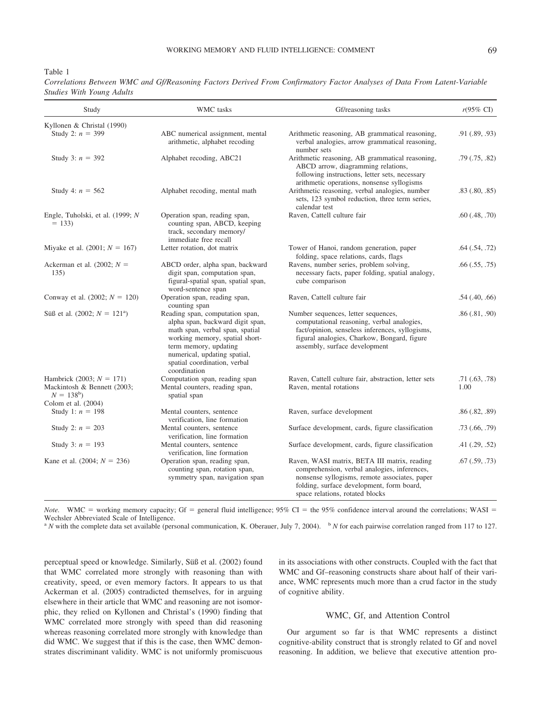Table 1

| Study                                       | WMC tasks                                                                                                                                                                                                                                         | Gf/reasoning tasks                                                                                                                                                                                                            | $r(95\% \text{ CI})$ |
|---------------------------------------------|---------------------------------------------------------------------------------------------------------------------------------------------------------------------------------------------------------------------------------------------------|-------------------------------------------------------------------------------------------------------------------------------------------------------------------------------------------------------------------------------|----------------------|
| Kyllonen & Christal (1990)                  |                                                                                                                                                                                                                                                   |                                                                                                                                                                                                                               |                      |
| Study 2: $n = 399$                          | ABC numerical assignment, mental<br>arithmetic, alphabet recoding                                                                                                                                                                                 | Arithmetic reasoning, AB grammatical reasoning,<br>verbal analogies, arrow grammatical reasoning,<br>number sets                                                                                                              | .91 (.89, .93)       |
| Study 3: $n = 392$                          | Alphabet recoding, ABC21                                                                                                                                                                                                                          | Arithmetic reasoning, AB grammatical reasoning,<br>ABCD arrow, diagramming relations,<br>following instructions, letter sets, necessary<br>arithmetic operations, nonsense syllogisms                                         | .79(0.75, 0.82)      |
| Study 4: $n = 562$                          | Alphabet recoding, mental math                                                                                                                                                                                                                    | Arithmetic reasoning, verbal analogies, number<br>sets, 123 symbol reduction, three term series,<br>calendar test                                                                                                             | $.83$ $(.80, .85)$   |
| Engle, Tuholski, et al. (1999; N<br>$= 133$ | Operation span, reading span,<br>counting span, ABCD, keeping<br>track, secondary memory/<br>immediate free recall                                                                                                                                | Raven, Cattell culture fair                                                                                                                                                                                                   | $.60$ $(.48, .70)$   |
| Miyake et al. $(2001; N = 167)$             | Letter rotation, dot matrix                                                                                                                                                                                                                       | Tower of Hanoi, random generation, paper<br>folding, space relations, cards, flags                                                                                                                                            | $.64$ $(.54, .72)$   |
| Ackerman et al. (2002; $N =$<br>135)        | ABCD order, alpha span, backward<br>digit span, computation span,<br>figural-spatial span, spatial span,<br>word-sentence span                                                                                                                    | Ravens, number series, problem solving,<br>necessary facts, paper folding, spatial analogy,<br>cube comparison                                                                                                                | $.66$ $(.55, .75)$   |
| Conway et al. $(2002; N = 120)$             | Operation span, reading span,<br>counting span                                                                                                                                                                                                    | Raven, Cattell culture fair                                                                                                                                                                                                   | .54(.40, .66)        |
| Süß et al. (2002; $N = 121^{\circ}$ )       | Reading span, computation span,<br>alpha span, backward digit span,<br>math span, verbal span, spatial<br>working memory, spatial short-<br>term memory, updating<br>numerical, updating spatial,<br>spatial coordination, verbal<br>coordination | Number sequences, letter sequences,<br>computational reasoning, verbal analogies,<br>fact/opinion, senseless inferences, syllogisms,<br>figural analogies, Charkow, Bongard, figure<br>assembly, surface development          | .86(.81, .90)        |
| Hambrick (2003; $N = 171$ )                 | Computation span, reading span                                                                                                                                                                                                                    | Raven, Cattell culture fair, abstraction, letter sets                                                                                                                                                                         | .71(0.63,0.78)       |
| Mackintosh & Bennett (2003;<br>$N = 138^b$  | Mental counters, reading span,<br>spatial span                                                                                                                                                                                                    | Raven, mental rotations                                                                                                                                                                                                       | 1.00                 |
| Colom et al. (2004)                         |                                                                                                                                                                                                                                                   |                                                                                                                                                                                                                               |                      |
| Study 1: $n = 198$                          | Mental counters, sentence<br>verification, line formation                                                                                                                                                                                         | Raven, surface development                                                                                                                                                                                                    | .86(.82, .89)        |
| Study 2: $n = 203$                          | Mental counters, sentence<br>verification, line formation                                                                                                                                                                                         | Surface development, cards, figure classification                                                                                                                                                                             | $.73$ $(.66, .79)$   |
| Study 3: $n = 193$                          | Mental counters, sentence<br>verification, line formation                                                                                                                                                                                         | Surface development, cards, figure classification                                                                                                                                                                             | $.41$ $(.29, .52)$   |
| Kane et al. $(2004; N = 236)$               | Operation span, reading span,<br>counting span, rotation span,<br>symmetry span, navigation span                                                                                                                                                  | Raven, WASI matrix, BETA III matrix, reading<br>comprehension, verbal analogies, inferences,<br>nonsense syllogisms, remote associates, paper<br>folding, surface development, form board,<br>space relations, rotated blocks | .67(.59,.73)         |

*Correlations Between WMC and Gf/Reasoning Factors Derived From Confirmatory Factor Analyses of Data From Latent-Variable Studies With Young Adults*

*Note.* WMC = working memory capacity; Gf = general fluid intelligence; 95% CI = the 95% confidence interval around the correlations; WASI = Wechsler Abbreviated Scale of Intelligence.

<sup>a</sup> *N* with the complete data set available (personal communication, K. Oberauer, July 7, 2004). <sup>b</sup> *N* for each pairwise correlation ranged from 117 to 127.

perceptual speed or knowledge. Similarly, Süß et al. (2002) found that WMC correlated more strongly with reasoning than with creativity, speed, or even memory factors. It appears to us that Ackerman et al. (2005) contradicted themselves, for in arguing elsewhere in their article that WMC and reasoning are not isomorphic, they relied on Kyllonen and Christal's (1990) finding that WMC correlated more strongly with speed than did reasoning whereas reasoning correlated more strongly with knowledge than did WMC. We suggest that if this is the case, then WMC demonstrates discriminant validity. WMC is not uniformly promiscuous in its associations with other constructs. Coupled with the fact that WMC and Gf–reasoning constructs share about half of their variance, WMC represents much more than a crud factor in the study of cognitive ability.

## WMC, Gf, and Attention Control

Our argument so far is that WMC represents a distinct cognitive-ability construct that is strongly related to Gf and novel reasoning. In addition, we believe that executive attention pro-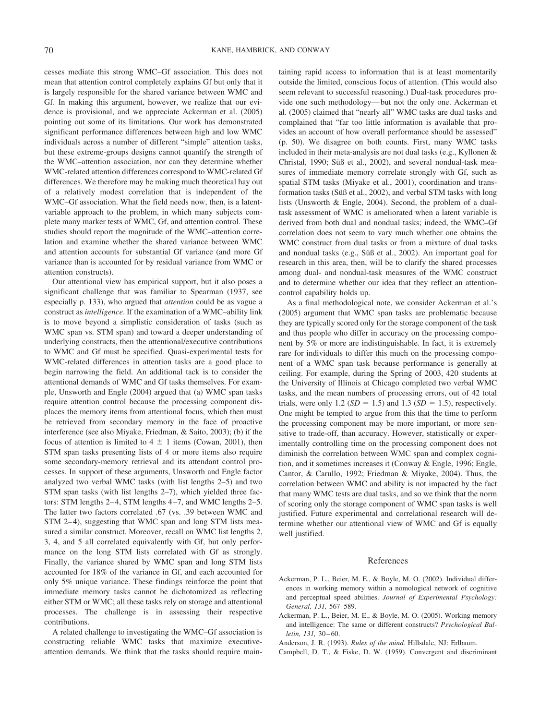cesses mediate this strong WMC–Gf association. This does not mean that attention control completely explains Gf but only that it is largely responsible for the shared variance between WMC and Gf. In making this argument, however, we realize that our evidence is provisional, and we appreciate Ackerman et al. (2005) pointing out some of its limitations. Our work has demonstrated significant performance differences between high and low WMC individuals across a number of different "simple" attention tasks, but these extreme-groups designs cannot quantify the strength of the WMC–attention association, nor can they determine whether WMC-related attention differences correspond to WMC-related Gf differences. We therefore may be making much theoretical hay out of a relatively modest correlation that is independent of the WMC–Gf association. What the field needs now, then, is a latentvariable approach to the problem, in which many subjects complete many marker tests of WMC, Gf, and attention control. These studies should report the magnitude of the WMC–attention correlation and examine whether the shared variance between WMC and attention accounts for substantial Gf variance (and more Gf variance than is accounted for by residual variance from WMC or attention constructs).

Our attentional view has empirical support, but it also poses a significant challenge that was familiar to Spearman (1937, see especially p. 133), who argued that *attention* could be as vague a construct as *intelligence*. If the examination of a WMC–ability link is to move beyond a simplistic consideration of tasks (such as WMC span vs. STM span) and toward a deeper understanding of underlying constructs, then the attentional/executive contributions to WMC and Gf must be specified. Quasi-experimental tests for WMC-related differences in attention tasks are a good place to begin narrowing the field. An additional tack is to consider the attentional demands of WMC and Gf tasks themselves. For example, Unsworth and Engle (2004) argued that (a) WMC span tasks require attention control because the processing component displaces the memory items from attentional focus, which then must be retrieved from secondary memory in the face of proactive interference (see also Miyake, Friedman, & Saito, 2003); (b) if the focus of attention is limited to  $4 \pm 1$  items (Cowan, 2001), then STM span tasks presenting lists of 4 or more items also require some secondary-memory retrieval and its attendant control processes. In support of these arguments, Unsworth and Engle factor analyzed two verbal WMC tasks (with list lengths 2–5) and two STM span tasks (with list lengths 2–7), which yielded three factors: STM lengths 2–4, STM lengths 4–7, and WMC lengths 2–5. The latter two factors correlated .67 (vs. .39 between WMC and STM 2–4), suggesting that WMC span and long STM lists measured a similar construct. Moreover, recall on WMC list lengths 2, 3, 4, and 5 all correlated equivalently with Gf, but only performance on the long STM lists correlated with Gf as strongly. Finally, the variance shared by WMC span and long STM lists accounted for 18% of the variance in Gf, and each accounted for only 5% unique variance. These findings reinforce the point that immediate memory tasks cannot be dichotomized as reflecting either STM or WMC; all these tasks rely on storage and attentional processes. The challenge is in assessing their respective contributions.

A related challenge to investigating the WMC–Gf association is constructing reliable WMC tasks that maximize executiveattention demands. We think that the tasks should require maintaining rapid access to information that is at least momentarily outside the limited, conscious focus of attention. (This would also seem relevant to successful reasoning.) Dual-task procedures provide one such methodology— but not the only one. Ackerman et al. (2005) claimed that "nearly all" WMC tasks are dual tasks and complained that "far too little information is available that provides an account of how overall performance should be assessed" (p. 50). We disagree on both counts. First, many WMC tasks included in their meta-analysis are not dual tasks (e.g., Kyllonen & Christal, 1990; Süß et al., 2002), and several nondual-task measures of immediate memory correlate strongly with Gf, such as spatial STM tasks (Miyake et al., 2001), coordination and transformation tasks (Süß et al., 2002), and verbal STM tasks with long lists (Unsworth & Engle, 2004). Second, the problem of a dualtask assessment of WMC is ameliorated when a latent variable is derived from both dual and nondual tasks; indeed, the WMC–Gf correlation does not seem to vary much whether one obtains the WMC construct from dual tasks or from a mixture of dual tasks and nondual tasks (e.g., Süß et al., 2002). An important goal for research in this area, then, will be to clarify the shared processes among dual- and nondual-task measures of the WMC construct and to determine whether our idea that they reflect an attentioncontrol capability holds up.

As a final methodological note, we consider Ackerman et al.'s (2005) argument that WMC span tasks are problematic because they are typically scored only for the storage component of the task and thus people who differ in accuracy on the processing component by 5% or more are indistinguishable. In fact, it is extremely rare for individuals to differ this much on the processing component of a WMC span task because performance is generally at ceiling. For example, during the Spring of 2003, 420 students at the University of Illinois at Chicago completed two verbal WMC tasks, and the mean numbers of processing errors, out of 42 total trials, were only 1.2 ( $SD = 1.5$ ) and 1.3 ( $SD = 1.5$ ), respectively. One might be tempted to argue from this that the time to perform the processing component may be more important, or more sensitive to trade-off, than accuracy. However, statistically or experimentally controlling time on the processing component does not diminish the correlation between WMC span and complex cognition, and it sometimes increases it (Conway & Engle, 1996; Engle, Cantor, & Carullo, 1992; Friedman & Miyake, 2004). Thus, the correlation between WMC and ability is not impacted by the fact that many WMC tests are dual tasks, and so we think that the norm of scoring only the storage component of WMC span tasks is well justified. Future experimental and correlational research will determine whether our attentional view of WMC and Gf is equally well justified.

#### References

- Ackerman, P. L., Beier, M. E., & Boyle, M. O. (2002). Individual differences in working memory within a nomological network of cognitive and perceptual speed abilities. *Journal of Experimental Psychology: General, 131,* 567–589.
- Ackerman, P. L., Beier, M. E., & Boyle, M. O. (2005). Working memory and intelligence: The same or different constructs? *Psychological Bulletin, 131, 30-60.*
- Anderson, J. R. (1993). *Rules of the mind.* Hillsdale, NJ: Erlbaum.
- Campbell, D. T., & Fiske, D. W. (1959). Convergent and discriminant